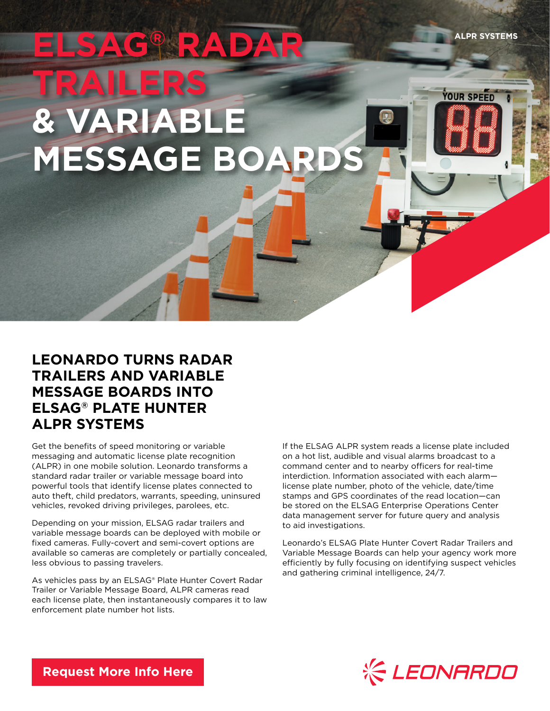**ELSAG® RADAR TRAILERS & VARIABLE MESSAGE BOARDS**

# **LEONARDO TURNS RADAR TRAILERS AND VARIABLE MESSAGE BOARDS INTO ELSAG® PLATE HUNTER ALPR SYSTEMS**

Get the benefits of speed monitoring or variable messaging and automatic license plate recognition (ALPR) in one mobile solution. Leonardo transforms a standard radar trailer or variable message board into powerful tools that identify license plates connected to auto theft, child predators, warrants, speeding, uninsured vehicles, revoked driving privileges, parolees, etc.

Depending on your mission, ELSAG radar trailers and variable message boards can be deployed with mobile or fixed cameras. Fully-covert and semi-covert options are available so cameras are completely or partially concealed, less obvious to passing travelers.

As vehicles pass by an ELSAG® Plate Hunter Covert Radar Trailer or Variable Message Board, ALPR cameras read each license plate, then instantaneously compares it to law enforcement plate number hot lists.

If the ELSAG ALPR system reads a license plate included on a hot list, audible and visual alarms broadcast to a command center and to nearby officers for real-time interdiction. Information associated with each alarm license plate number, photo of the vehicle, date/time stamps and GPS coordinates of the read location—can be stored on the ELSAG Enterprise Operations Center data management server for future query and analysis to aid investigations.

Leonardo's ELSAG Plate Hunter Covert Radar Trailers and Variable Message Boards can help your agency work more efficiently by fully focusing on identifying suspect vehicles and gathering criminal intelligence, 24/7.



**YOUR SPEED** 

**[Request More Info Here](https://www.leonardocompany-us.com/lpr/qr_info_request)**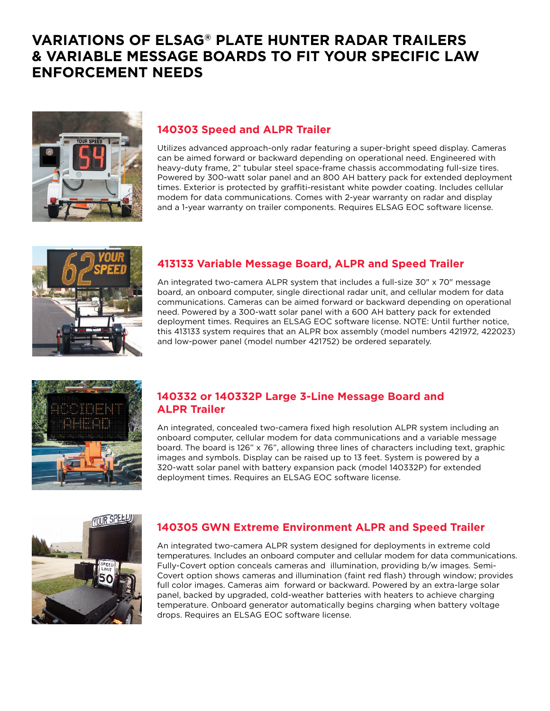## **VARIATIONS OF ELSAG® PLATE HUNTER RADAR TRAILERS & VARIABLE MESSAGE BOARDS TO FIT YOUR SPECIFIC LAW ENFORCEMENT NEEDS**



### **140303 Speed and ALPR Trailer**

Utilizes advanced approach-only radar featuring a super-bright speed display. Cameras can be aimed forward or backward depending on operational need. Engineered with heavy-duty frame, 2" tubular steel space-frame chassis accommodating full-size tires. Powered by 300-watt solar panel and an 800 AH battery pack for extended deployment times. Exterior is protected by graffiti-resistant white powder coating. Includes cellular modem for data communications. Comes with 2-year warranty on radar and display and a 1-year warranty on trailer components. Requires ELSAG EOC software license.



### **413133 Variable Message Board, ALPR and Speed Trailer**

An integrated two-camera ALPR system that includes a full-size 30" x 70" message board, an onboard computer, single directional radar unit, and cellular modem for data communications. Cameras can be aimed forward or backward depending on operational need. Powered by a 300-watt solar panel with a 600 AH battery pack for extended deployment times. Requires an ELSAG EOC software license. NOTE: Until further notice, this 413133 system requires that an ALPR box assembly (model numbers 421972, 422023) and low-power panel (model number 421752) be ordered separately.



#### **140332 or 140332P Large 3-Line Message Board and ALPR Trailer**

An integrated, concealed two-camera fixed high resolution ALPR system including an onboard computer, cellular modem for data communications and a variable message board. The board is 126" x 76", allowing three lines of characters including text, graphic images and symbols. Display can be raised up to 13 feet. System is powered by a 320-watt solar panel with battery expansion pack (model 140332P) for extended deployment times. Requires an ELSAG EOC software license.



#### **140305 GWN Extreme Environment ALPR and Speed Trailer**

An integrated two-camera ALPR system designed for deployments in extreme cold temperatures. Includes an onboard computer and cellular modem for data communications. Fully-Covert option conceals cameras and illumination, providing b/w images. Semi-Covert option shows cameras and illumination (faint red flash) through window; provides full color images. Cameras aim forward or backward. Powered by an extra-large solar panel, backed by upgraded, cold-weather batteries with heaters to achieve charging temperature. Onboard generator automatically begins charging when battery voltage drops. Requires an ELSAG EOC software license.